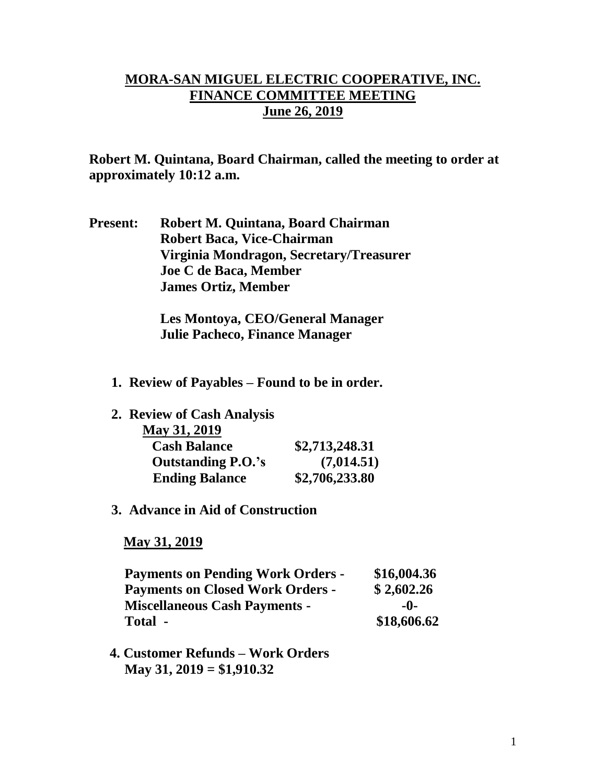## **MORA-SAN MIGUEL ELECTRIC COOPERATIVE, INC. FINANCE COMMITTEE MEETING June 26, 2019**

**Robert M. Quintana, Board Chairman, called the meeting to order at approximately 10:12 a.m.**

**Present: Robert M. Quintana, Board Chairman Robert Baca, Vice-Chairman Virginia Mondragon, Secretary/Treasurer Joe C de Baca, Member James Ortiz, Member**

> **Les Montoya, CEO/General Manager Julie Pacheco, Finance Manager**

- **1. Review of Payables – Found to be in order.**
- **2. Review of Cash Analysis**

| May 31, 2019              |                |
|---------------------------|----------------|
| <b>Cash Balance</b>       | \$2,713,248.31 |
| <b>Outstanding P.O.'s</b> | (7,014.51)     |
| <b>Ending Balance</b>     | \$2,706,233.80 |

**3. Advance in Aid of Construction**

 **May 31, 2019**

| <b>Payments on Pending Work Orders -</b> | \$16,004.36 |
|------------------------------------------|-------------|
| <b>Payments on Closed Work Orders -</b>  | \$2,602.26  |
| <b>Miscellaneous Cash Payments -</b>     | -0-         |
| Total -                                  | \$18,606.62 |

 **4. Customer Refunds – Work Orders May 31, 2019 = \$1,910.32**